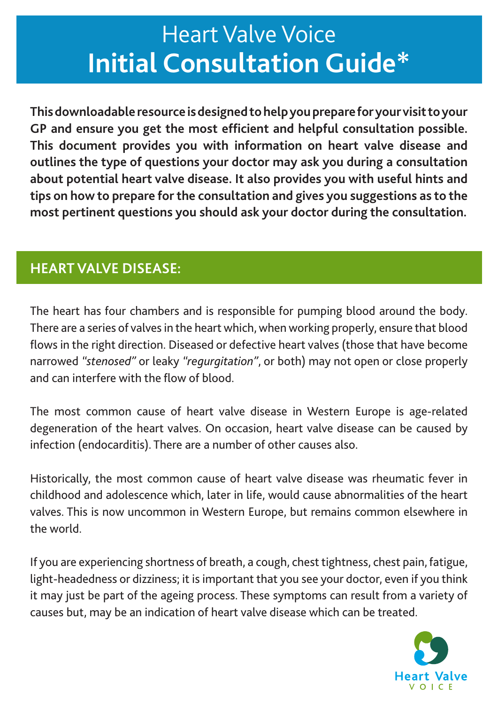# **Heart Valve Voice Initial Consultation Guide\***

**This downloadable resource is designed to help you prepare for your visit to your GP and ensure you get the most efficient and helpful consultation possible. This document provides you with information on heart valve disease and outlines the type of questions your doctor may ask you during a consultation about potential heart valve disease. It also provides you with useful hints and tips on how to prepare for the consultation and gives you suggestions as to the most pertinent questions you should ask your doctor during the consultation.**

### **HEART VALVE DISEASE:**

The heart has four chambers and is responsible for pumping blood around the body. There are a series of valves in the heart which, when working properly, ensure that blood flows in the right direction. Diseased or defective heart valves (those that have become narrowed *"stenosed"* or leaky *"regurgitation"*, or both) may not open or close properly and can interfere with the flow of blood.

The most common cause of heart valve disease in Western Europe is age-related degeneration of the heart valves. On occasion, heart valve disease can be caused by infection (endocarditis). There are a number of other causes also.

Historically, the most common cause of heart valve disease was rheumatic fever in childhood and adolescence which, later in life, would cause abnormalities of the heart valves. This is now uncommon in Western Europe, but remains common elsewhere in the world.

If you are experiencing shortness of breath, a cough, chest tightness, chest pain, fatigue, light-headedness or dizziness; it is important that you see your doctor, even if you think it may just be part of the ageing process. These symptoms can result from a variety of causes but, may be an indication of heart valve disease which can be treated.

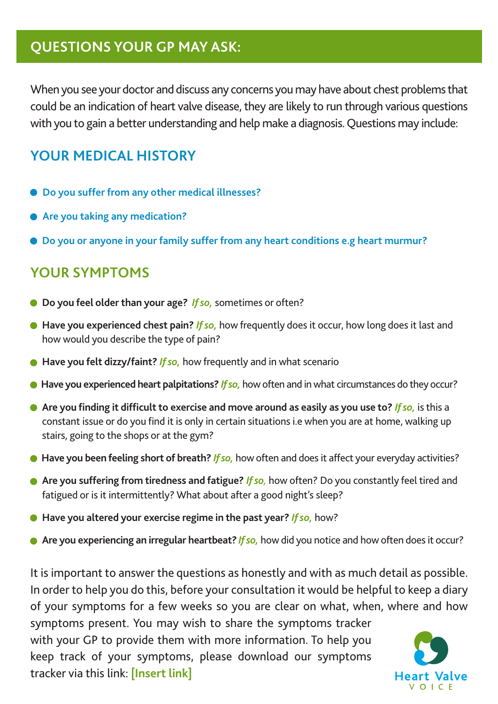## **QUESTIONS YOUR GP MAY ASK:**

When you see your doctor and discuss any concerns you may have about chest problems that could be an indication of heart valve disease, they are likely to run through various questions with you to gain a better understanding and help make a diagnosis. Questions may include:

### **YOUR MEDICAL HISTORY**

- **Do you suffer from any other medical illnesses?**
- **Are you taking any medication?**
- **Do you or anyone in your family suffer from any heart conditions e.g heart murmur?**

#### **YOUR SYMPTOMS**

- **Do you feel older than your age?** *If so,* sometimes or often?
- **Have you experienced chest pain?** *If so,* how frequently does it occur, how long does it last and how would you describe the type of pain?
- **Have you felt dizzy/faint?** *If so,* how frequently and in what scenario
- **Have you experienced heart palpitations?** *If so,* how often and in what circumstances do they occur?
- **Are you finding it difficult to exercise and move around as easily as you use to?** *If so,* is this a constant issue or do you find it is only in certain situations i.e when you are at home, walking up stairs, going to the shops or at the gym?
- Have you been feeling short of breath? *If so*, how often and does it affect your everyday activities?
- **Are you suffering from tiredness and fatigue?** *If so,* how often? Do you constantly feel tired and fatigued or is it intermittently? What about after a good night's sleep?
- **Have you altered your exercise regime in the past year?** *If so,* how?
- **Are you experiencing an irregular heartbeat?** *If so*, how did you notice and how often does it occur?

It is important to answer the questions as honestly and with as much detail as possible. In order to help you do this, before your consultation it would be helpful to keep a diary of your symptoms for a few weeks so you are clear on what, when, where and how

symptoms present. You may wish to share the symptoms tracker with your GP to provide them with more information. To help you keep track of your symptoms, please download our symptoms tracker via this link: **[Insert link]**